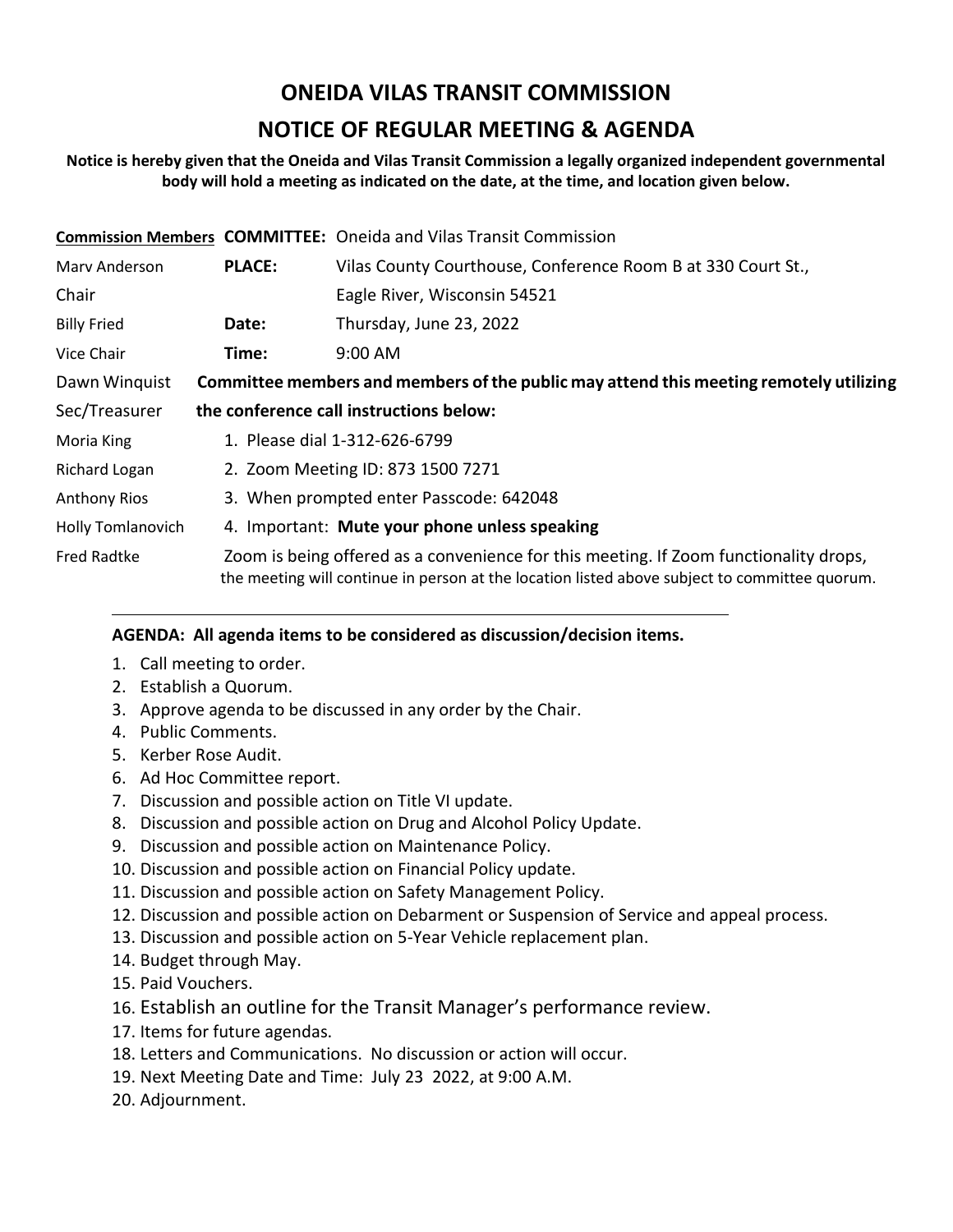# **ONEIDA VILAS TRANSIT COMMISSION**

## **NOTICE OF REGULAR MEETING & AGENDA**

### **Notice is hereby given that the Oneida and Vilas Transit Commission a legally organized independent governmental body will hold a meeting as indicated on the date, at the time, and location given below.**

|                          |                                                                                                                                                                                        | <b>Commission Members COMMITTEE:</b> Oneida and Vilas Transit Commission |
|--------------------------|----------------------------------------------------------------------------------------------------------------------------------------------------------------------------------------|--------------------------------------------------------------------------|
| Mary Anderson            | <b>PLACE:</b>                                                                                                                                                                          | Vilas County Courthouse, Conference Room B at 330 Court St.,             |
| Chair                    |                                                                                                                                                                                        | Eagle River, Wisconsin 54521                                             |
| <b>Billy Fried</b>       | Date:                                                                                                                                                                                  | Thursday, June 23, 2022                                                  |
| Vice Chair               | Time:                                                                                                                                                                                  | $9:00$ AM                                                                |
| Dawn Winquist            | Committee members and members of the public may attend this meeting remotely utilizing                                                                                                 |                                                                          |
| Sec/Treasurer            | the conference call instructions below:                                                                                                                                                |                                                                          |
| Moria King               | 1. Please dial 1-312-626-6799                                                                                                                                                          |                                                                          |
| Richard Logan            | 2. Zoom Meeting ID: 873 1500 7271                                                                                                                                                      |                                                                          |
| <b>Anthony Rios</b>      | 3. When prompted enter Passcode: 642048                                                                                                                                                |                                                                          |
| <b>Holly Tomlanovich</b> | 4. Important: Mute your phone unless speaking                                                                                                                                          |                                                                          |
| <b>Fred Radtke</b>       | Zoom is being offered as a convenience for this meeting. If Zoom functionality drops,<br>the meeting will continue in person at the location listed above subject to committee quorum. |                                                                          |

## **AGENDA: All agenda items to be considered as discussion/decision items.**

- 1. Call meeting to order.
- 2. Establish a Quorum.
- 3. Approve agenda to be discussed in any order by the Chair.
- 4. Public Comments.
- 5. Kerber Rose Audit.
- 6. Ad Hoc Committee report.
- 7. Discussion and possible action on Title VI update.
- 8. Discussion and possible action on Drug and Alcohol Policy Update.
- 9. Discussion and possible action on Maintenance Policy.
- 10. Discussion and possible action on Financial Policy update.
- 11. Discussion and possible action on Safety Management Policy.
- 12. Discussion and possible action on Debarment or Suspension of Service and appeal process.
- 13. Discussion and possible action on 5-Year Vehicle replacement plan.
- 14. Budget through May.
- 15. Paid Vouchers.
- 16. Establish an outline for the Transit Manager's performance review.
- 17. Items for future agendas.
- 18. Letters and Communications. No discussion or action will occur.
- 19. Next Meeting Date and Time: July 23 2022, at 9:00 A.M.
- 20. Adjournment.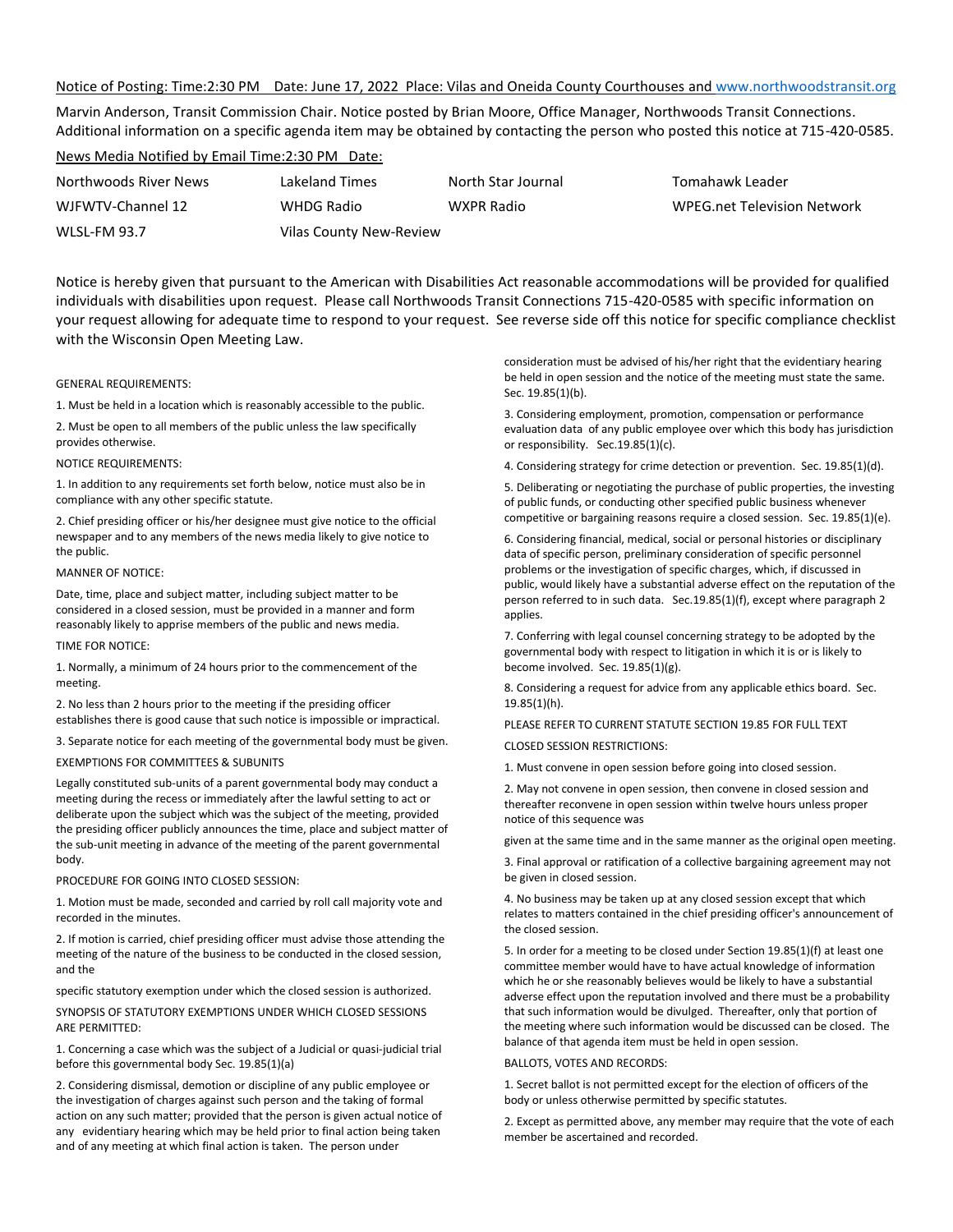#### Notice of Posting: Time:2:30 PM Date: June 17, 2022 Place: Vilas and Oneida County Courthouses and [www.northwoodstransit.org](http://www.northwoodstransit.org/)

Marvin Anderson, Transit Commission Chair. Notice posted by Brian Moore, Office Manager, Northwoods Transit Connections. Additional information on a specific agenda item may be obtained by contacting the person who posted this notice at 715-420-0585.

#### News Media Notified by Email Time:2:30 PM Date:

WLSL-FM 93.7 Vilas County New-Review

Northwoods River News Lakeland Times North Star Journal Tomahawk Leader WJFWTV-Channel 12 WHDG Radio WXPR Radio WPEG.net Television Network

Notice is hereby given that pursuant to the American with Disabilities Act reasonable accommodations will be provided for qualified individuals with disabilities upon request. Please call Northwoods Transit Connections 715-420-0585 with specific information on your request allowing for adequate time to respond to your request. See reverse side off this notice for specific compliance checklist with the Wisconsin Open Meeting Law.

#### GENERAL REQUIREMENTS:

1. Must be held in a location which is reasonably accessible to the public.

2. Must be open to all members of the public unless the law specifically provides otherwise.

#### NOTICE REQUIREMENTS:

1. In addition to any requirements set forth below, notice must also be in compliance with any other specific statute.

2. Chief presiding officer or his/her designee must give notice to the official newspaper and to any members of the news media likely to give notice to the public.

#### MANNER OF NOTICE:

Date, time, place and subject matter, including subject matter to be considered in a closed session, must be provided in a manner and form reasonably likely to apprise members of the public and news media.

TIME FOR NOTICE:

1. Normally, a minimum of 24 hours prior to the commencement of the meeting.

2. No less than 2 hours prior to the meeting if the presiding officer establishes there is good cause that such notice is impossible or impractical.

3. Separate notice for each meeting of the governmental body must be given.

#### EXEMPTIONS FOR COMMITTEES & SUBUNITS

Legally constituted sub-units of a parent governmental body may conduct a meeting during the recess or immediately after the lawful setting to act or deliberate upon the subject which was the subject of the meeting, provided the presiding officer publicly announces the time, place and subject matter of the sub-unit meeting in advance of the meeting of the parent governmental body.

#### PROCEDURE FOR GOING INTO CLOSED SESSION:

1. Motion must be made, seconded and carried by roll call majority vote and recorded in the minutes.

2. If motion is carried, chief presiding officer must advise those attending the meeting of the nature of the business to be conducted in the closed session, and the

specific statutory exemption under which the closed session is authorized.

SYNOPSIS OF STATUTORY EXEMPTIONS UNDER WHICH CLOSED SESSIONS ARE PERMITTED:

1. Concerning a case which was the subject of a Judicial or quasi-judicial trial before this governmental body Sec. 19.85(1)(a)

2. Considering dismissal, demotion or discipline of any public employee or the investigation of charges against such person and the taking of formal action on any such matter; provided that the person is given actual notice of any evidentiary hearing which may be held prior to final action being taken and of any meeting at which final action is taken. The person under

consideration must be advised of his/her right that the evidentiary hearing be held in open session and the notice of the meeting must state the same. Sec. 19.85(1)(b).

3. Considering employment, promotion, compensation or performance evaluation data of any public employee over which this body has jurisdiction or responsibility. Sec.19.85(1)(c).

4. Considering strategy for crime detection or prevention. Sec. 19.85(1)(d).

5. Deliberating or negotiating the purchase of public properties, the investing of public funds, or conducting other specified public business whenever competitive or bargaining reasons require a closed session. Sec. 19.85(1)(e).

6. Considering financial, medical, social or personal histories or disciplinary data of specific person, preliminary consideration of specific personnel problems or the investigation of specific charges, which, if discussed in public, would likely have a substantial adverse effect on the reputation of the person referred to in such data. Sec.19.85(1)(f), except where paragraph 2 applies.

7. Conferring with legal counsel concerning strategy to be adopted by the governmental body with respect to litigation in which it is or is likely to become involved. Sec. 19.85(1)(g).

8. Considering a request for advice from any applicable ethics board. Sec. 19.85(1)(h).

PLEASE REFER TO CURRENT STATUTE SECTION 19.85 FOR FULL TEXT CLOSED SESSION RESTRICTIONS:

1. Must convene in open session before going into closed session.

2. May not convene in open session, then convene in closed session and thereafter reconvene in open session within twelve hours unless proper notice of this sequence was

given at the same time and in the same manner as the original open meeting.

3. Final approval or ratification of a collective bargaining agreement may not be given in closed session.

4. No business may be taken up at any closed session except that which relates to matters contained in the chief presiding officer's announcement of the closed session.

5. In order for a meeting to be closed under Section 19.85(1)(f) at least one committee member would have to have actual knowledge of information which he or she reasonably believes would be likely to have a substantial adverse effect upon the reputation involved and there must be a probability that such information would be divulged. Thereafter, only that portion of the meeting where such information would be discussed can be closed. The balance of that agenda item must be held in open session.

#### BALLOTS, VOTES AND RECORDS:

1. Secret ballot is not permitted except for the election of officers of the body or unless otherwise permitted by specific statutes.

2. Except as permitted above, any member may require that the vote of each member be ascertained and recorded.